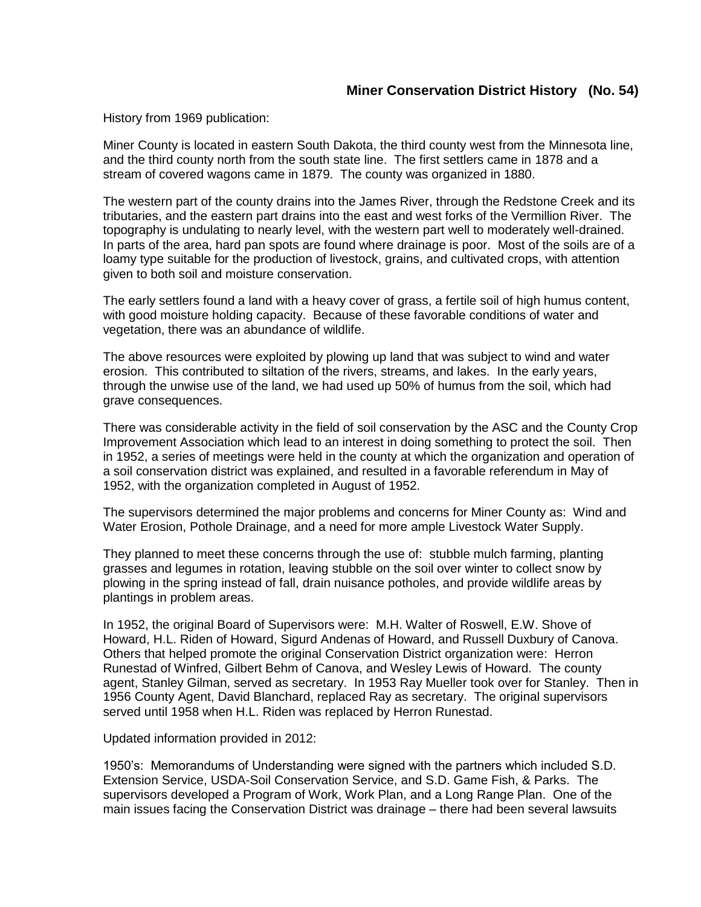History from 1969 publication:

Miner County is located in eastern South Dakota, the third county west from the Minnesota line, and the third county north from the south state line. The first settlers came in 1878 and a stream of covered wagons came in 1879. The county was organized in 1880.

The western part of the county drains into the James River, through the Redstone Creek and its tributaries, and the eastern part drains into the east and west forks of the Vermillion River. The topography is undulating to nearly level, with the western part well to moderately well-drained. In parts of the area, hard pan spots are found where drainage is poor. Most of the soils are of a loamy type suitable for the production of livestock, grains, and cultivated crops, with attention given to both soil and moisture conservation.

The early settlers found a land with a heavy cover of grass, a fertile soil of high humus content, with good moisture holding capacity. Because of these favorable conditions of water and vegetation, there was an abundance of wildlife.

The above resources were exploited by plowing up land that was subject to wind and water erosion. This contributed to siltation of the rivers, streams, and lakes. In the early years, through the unwise use of the land, we had used up 50% of humus from the soil, which had grave consequences.

There was considerable activity in the field of soil conservation by the ASC and the County Crop Improvement Association which lead to an interest in doing something to protect the soil. Then in 1952, a series of meetings were held in the county at which the organization and operation of a soil conservation district was explained, and resulted in a favorable referendum in May of 1952, with the organization completed in August of 1952.

The supervisors determined the major problems and concerns for Miner County as: Wind and Water Erosion, Pothole Drainage, and a need for more ample Livestock Water Supply.

They planned to meet these concerns through the use of: stubble mulch farming, planting grasses and legumes in rotation, leaving stubble on the soil over winter to collect snow by plowing in the spring instead of fall, drain nuisance potholes, and provide wildlife areas by plantings in problem areas.

In 1952, the original Board of Supervisors were: M.H. Walter of Roswell, E.W. Shove of Howard, H.L. Riden of Howard, Sigurd Andenas of Howard, and Russell Duxbury of Canova. Others that helped promote the original Conservation District organization were: Herron Runestad of Winfred, Gilbert Behm of Canova, and Wesley Lewis of Howard. The county agent, Stanley Gilman, served as secretary. In 1953 Ray Mueller took over for Stanley. Then in 1956 County Agent, David Blanchard, replaced Ray as secretary. The original supervisors served until 1958 when H.L. Riden was replaced by Herron Runestad.

Updated information provided in 2012:

1950's: Memorandums of Understanding were signed with the partners which included S.D. Extension Service, USDA-Soil Conservation Service, and S.D. Game Fish, & Parks. The supervisors developed a Program of Work, Work Plan, and a Long Range Plan. One of the main issues facing the Conservation District was drainage – there had been several lawsuits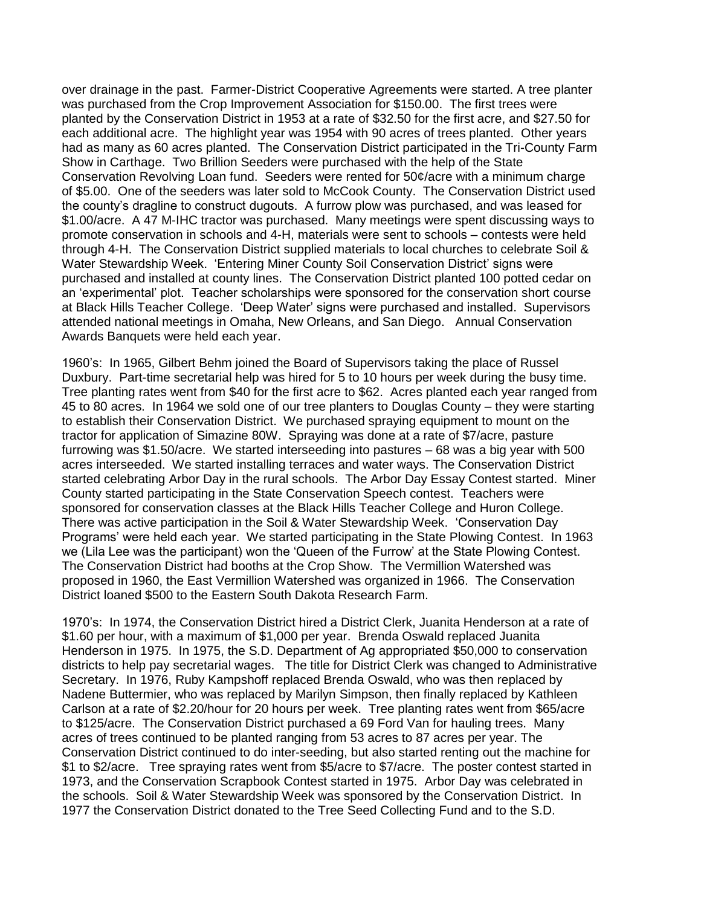over drainage in the past. Farmer-District Cooperative Agreements were started. A tree planter was purchased from the Crop Improvement Association for \$150.00. The first trees were planted by the Conservation District in 1953 at a rate of \$32.50 for the first acre, and \$27.50 for each additional acre. The highlight year was 1954 with 90 acres of trees planted. Other years had as many as 60 acres planted. The Conservation District participated in the Tri-County Farm Show in Carthage. Two Brillion Seeders were purchased with the help of the State Conservation Revolving Loan fund. Seeders were rented for 50¢/acre with a minimum charge of \$5.00. One of the seeders was later sold to McCook County. The Conservation District used the county's dragline to construct dugouts. A furrow plow was purchased, and was leased for \$1.00/acre. A 47 M-IHC tractor was purchased. Many meetings were spent discussing ways to promote conservation in schools and 4-H, materials were sent to schools – contests were held through 4-H. The Conservation District supplied materials to local churches to celebrate Soil & Water Stewardship Week. 'Entering Miner County Soil Conservation District' signs were purchased and installed at county lines. The Conservation District planted 100 potted cedar on an 'experimental' plot. Teacher scholarships were sponsored for the conservation short course at Black Hills Teacher College. 'Deep Water' signs were purchased and installed. Supervisors attended national meetings in Omaha, New Orleans, and San Diego. Annual Conservation Awards Banquets were held each year.

1960's: In 1965, Gilbert Behm joined the Board of Supervisors taking the place of Russel Duxbury. Part-time secretarial help was hired for 5 to 10 hours per week during the busy time. Tree planting rates went from \$40 for the first acre to \$62. Acres planted each year ranged from 45 to 80 acres. In 1964 we sold one of our tree planters to Douglas County – they were starting to establish their Conservation District. We purchased spraying equipment to mount on the tractor for application of Simazine 80W. Spraying was done at a rate of \$7/acre, pasture furrowing was \$1.50/acre. We started interseeding into pastures – 68 was a big year with 500 acres interseeded. We started installing terraces and water ways. The Conservation District started celebrating Arbor Day in the rural schools. The Arbor Day Essay Contest started. Miner County started participating in the State Conservation Speech contest. Teachers were sponsored for conservation classes at the Black Hills Teacher College and Huron College. There was active participation in the Soil & Water Stewardship Week. 'Conservation Day Programs' were held each year. We started participating in the State Plowing Contest. In 1963 we (Lila Lee was the participant) won the 'Queen of the Furrow' at the State Plowing Contest. The Conservation District had booths at the Crop Show. The Vermillion Watershed was proposed in 1960, the East Vermillion Watershed was organized in 1966. The Conservation District loaned \$500 to the Eastern South Dakota Research Farm.

1970's: In 1974, the Conservation District hired a District Clerk, Juanita Henderson at a rate of \$1.60 per hour, with a maximum of \$1,000 per year. Brenda Oswald replaced Juanita Henderson in 1975. In 1975, the S.D. Department of Ag appropriated \$50,000 to conservation districts to help pay secretarial wages. The title for District Clerk was changed to Administrative Secretary. In 1976, Ruby Kampshoff replaced Brenda Oswald, who was then replaced by Nadene Buttermier, who was replaced by Marilyn Simpson, then finally replaced by Kathleen Carlson at a rate of \$2.20/hour for 20 hours per week. Tree planting rates went from \$65/acre to \$125/acre. The Conservation District purchased a 69 Ford Van for hauling trees. Many acres of trees continued to be planted ranging from 53 acres to 87 acres per year. The Conservation District continued to do inter-seeding, but also started renting out the machine for \$1 to \$2/acre. Tree spraying rates went from \$5/acre to \$7/acre. The poster contest started in 1973, and the Conservation Scrapbook Contest started in 1975. Arbor Day was celebrated in the schools. Soil & Water Stewardship Week was sponsored by the Conservation District. In 1977 the Conservation District donated to the Tree Seed Collecting Fund and to the S.D.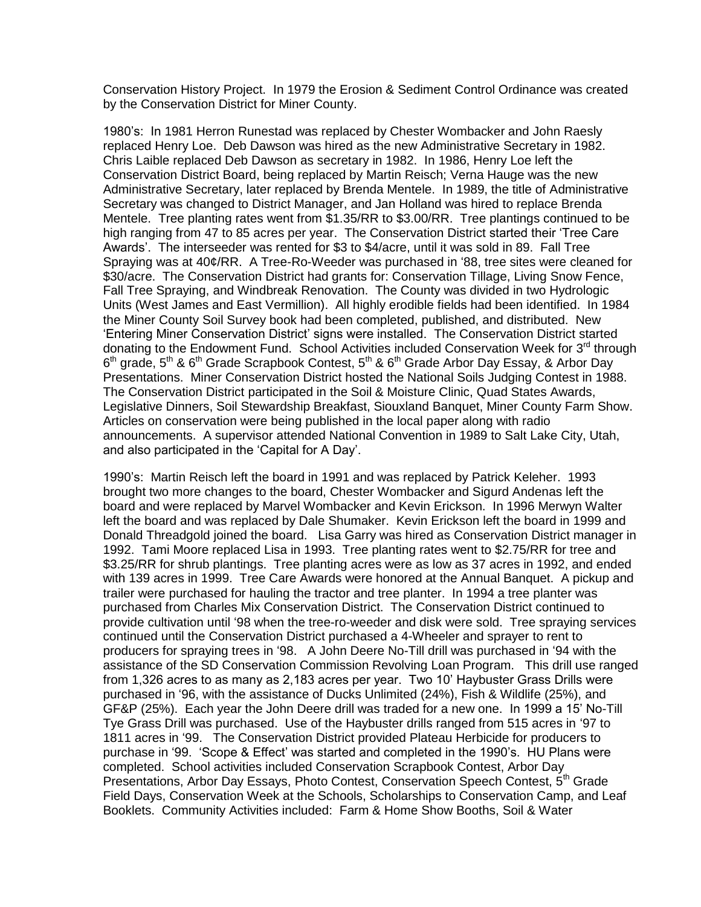Conservation History Project. In 1979 the Erosion & Sediment Control Ordinance was created by the Conservation District for Miner County.

1980's: In 1981 Herron Runestad was replaced by Chester Wombacker and John Raesly replaced Henry Loe. Deb Dawson was hired as the new Administrative Secretary in 1982. Chris Laible replaced Deb Dawson as secretary in 1982. In 1986, Henry Loe left the Conservation District Board, being replaced by Martin Reisch; Verna Hauge was the new Administrative Secretary, later replaced by Brenda Mentele. In 1989, the title of Administrative Secretary was changed to District Manager, and Jan Holland was hired to replace Brenda Mentele. Tree planting rates went from \$1.35/RR to \$3.00/RR. Tree plantings continued to be high ranging from 47 to 85 acres per year. The Conservation District started their 'Tree Care Awards'. The interseeder was rented for \$3 to \$4/acre, until it was sold in 89. Fall Tree Spraying was at 40¢/RR. A Tree-Ro-Weeder was purchased in '88, tree sites were cleaned for \$30/acre. The Conservation District had grants for: Conservation Tillage, Living Snow Fence, Fall Tree Spraying, and Windbreak Renovation. The County was divided in two Hydrologic Units (West James and East Vermillion). All highly erodible fields had been identified. In 1984 the Miner County Soil Survey book had been completed, published, and distributed. New 'Entering Miner Conservation District' signs were installed. The Conservation District started donating to the Endowment Fund. School Activities included Conservation Week for 3<sup>rd</sup> through  $6<sup>th</sup>$  grade,  $5<sup>th</sup>$  &  $6<sup>th</sup>$  Grade Scrapbook Contest,  $5<sup>th</sup>$  &  $6<sup>th</sup>$  Grade Arbor Day Essay, & Arbor Day Presentations. Miner Conservation District hosted the National Soils Judging Contest in 1988. The Conservation District participated in the Soil & Moisture Clinic, Quad States Awards, Legislative Dinners, Soil Stewardship Breakfast, Siouxland Banquet, Miner County Farm Show. Articles on conservation were being published in the local paper along with radio announcements. A supervisor attended National Convention in 1989 to Salt Lake City, Utah, and also participated in the 'Capital for A Day'.

1990's: Martin Reisch left the board in 1991 and was replaced by Patrick Keleher. 1993 brought two more changes to the board, Chester Wombacker and Sigurd Andenas left the board and were replaced by Marvel Wombacker and Kevin Erickson. In 1996 Merwyn Walter left the board and was replaced by Dale Shumaker. Kevin Erickson left the board in 1999 and Donald Threadgold joined the board. Lisa Garry was hired as Conservation District manager in 1992. Tami Moore replaced Lisa in 1993. Tree planting rates went to \$2.75/RR for tree and \$3.25/RR for shrub plantings. Tree planting acres were as low as 37 acres in 1992, and ended with 139 acres in 1999. Tree Care Awards were honored at the Annual Banquet. A pickup and trailer were purchased for hauling the tractor and tree planter. In 1994 a tree planter was purchased from Charles Mix Conservation District. The Conservation District continued to provide cultivation until '98 when the tree-ro-weeder and disk were sold. Tree spraying services continued until the Conservation District purchased a 4-Wheeler and sprayer to rent to producers for spraying trees in '98. A John Deere No-Till drill was purchased in '94 with the assistance of the SD Conservation Commission Revolving Loan Program. This drill use ranged from 1,326 acres to as many as 2,183 acres per year. Two 10' Haybuster Grass Drills were purchased in '96, with the assistance of Ducks Unlimited (24%), Fish & Wildlife (25%), and GF&P (25%). Each year the John Deere drill was traded for a new one. In 1999 a 15' No-Till Tye Grass Drill was purchased. Use of the Haybuster drills ranged from 515 acres in '97 to 1811 acres in '99. The Conservation District provided Plateau Herbicide for producers to purchase in '99. 'Scope & Effect' was started and completed in the 1990's. HU Plans were completed. School activities included Conservation Scrapbook Contest, Arbor Day Presentations, Arbor Day Essays, Photo Contest, Conservation Speech Contest, 5<sup>th</sup> Grade Field Days, Conservation Week at the Schools, Scholarships to Conservation Camp, and Leaf Booklets. Community Activities included: Farm & Home Show Booths, Soil & Water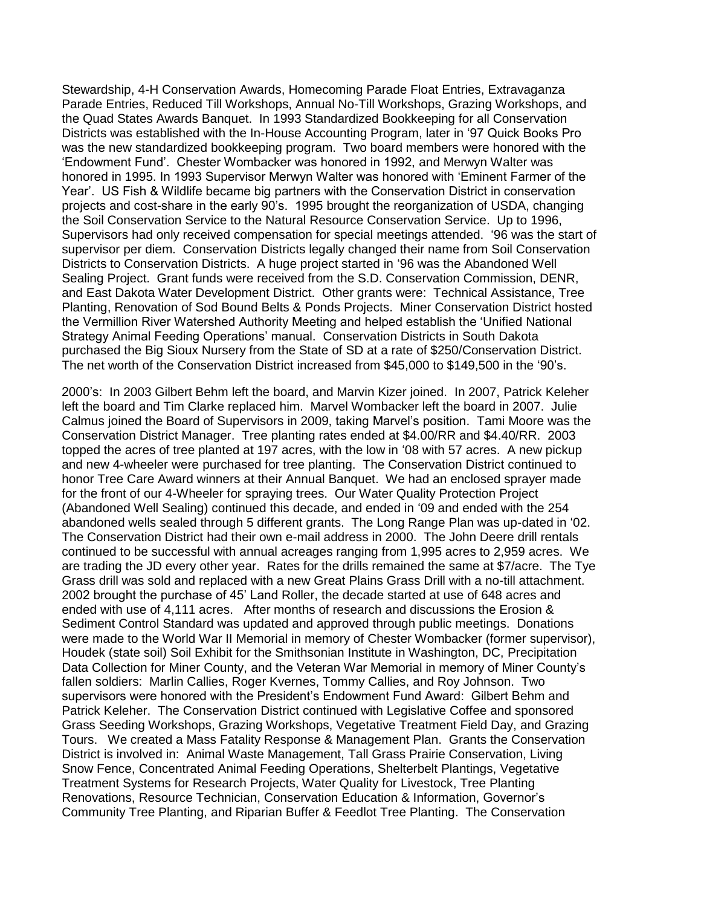Stewardship, 4-H Conservation Awards, Homecoming Parade Float Entries, Extravaganza Parade Entries, Reduced Till Workshops, Annual No-Till Workshops, Grazing Workshops, and the Quad States Awards Banquet. In 1993 Standardized Bookkeeping for all Conservation Districts was established with the In-House Accounting Program, later in '97 Quick Books Pro was the new standardized bookkeeping program. Two board members were honored with the 'Endowment Fund'. Chester Wombacker was honored in 1992, and Merwyn Walter was honored in 1995. In 1993 Supervisor Merwyn Walter was honored with 'Eminent Farmer of the Year'. US Fish & Wildlife became big partners with the Conservation District in conservation projects and cost-share in the early 90's. 1995 brought the reorganization of USDA, changing the Soil Conservation Service to the Natural Resource Conservation Service. Up to 1996, Supervisors had only received compensation for special meetings attended. '96 was the start of supervisor per diem. Conservation Districts legally changed their name from Soil Conservation Districts to Conservation Districts. A huge project started in '96 was the Abandoned Well Sealing Project. Grant funds were received from the S.D. Conservation Commission, DENR, and East Dakota Water Development District. Other grants were: Technical Assistance, Tree Planting, Renovation of Sod Bound Belts & Ponds Projects. Miner Conservation District hosted the Vermillion River Watershed Authority Meeting and helped establish the 'Unified National Strategy Animal Feeding Operations' manual. Conservation Districts in South Dakota purchased the Big Sioux Nursery from the State of SD at a rate of \$250/Conservation District. The net worth of the Conservation District increased from \$45,000 to \$149,500 in the '90's.

2000's: In 2003 Gilbert Behm left the board, and Marvin Kizer joined. In 2007, Patrick Keleher left the board and Tim Clarke replaced him. Marvel Wombacker left the board in 2007. Julie Calmus joined the Board of Supervisors in 2009, taking Marvel's position. Tami Moore was the Conservation District Manager. Tree planting rates ended at \$4.00/RR and \$4.40/RR. 2003 topped the acres of tree planted at 197 acres, with the low in '08 with 57 acres. A new pickup and new 4-wheeler were purchased for tree planting. The Conservation District continued to honor Tree Care Award winners at their Annual Banquet. We had an enclosed sprayer made for the front of our 4-Wheeler for spraying trees. Our Water Quality Protection Project (Abandoned Well Sealing) continued this decade, and ended in '09 and ended with the 254 abandoned wells sealed through 5 different grants. The Long Range Plan was up-dated in '02. The Conservation District had their own e-mail address in 2000. The John Deere drill rentals continued to be successful with annual acreages ranging from 1,995 acres to 2,959 acres. We are trading the JD every other year. Rates for the drills remained the same at \$7/acre. The Tye Grass drill was sold and replaced with a new Great Plains Grass Drill with a no-till attachment. 2002 brought the purchase of 45' Land Roller, the decade started at use of 648 acres and ended with use of 4,111 acres. After months of research and discussions the Erosion & Sediment Control Standard was updated and approved through public meetings. Donations were made to the World War II Memorial in memory of Chester Wombacker (former supervisor), Houdek (state soil) Soil Exhibit for the Smithsonian Institute in Washington, DC, Precipitation Data Collection for Miner County, and the Veteran War Memorial in memory of Miner County's fallen soldiers: Marlin Callies, Roger Kvernes, Tommy Callies, and Roy Johnson. Two supervisors were honored with the President's Endowment Fund Award: Gilbert Behm and Patrick Keleher. The Conservation District continued with Legislative Coffee and sponsored Grass Seeding Workshops, Grazing Workshops, Vegetative Treatment Field Day, and Grazing Tours. We created a Mass Fatality Response & Management Plan. Grants the Conservation District is involved in: Animal Waste Management, Tall Grass Prairie Conservation, Living Snow Fence, Concentrated Animal Feeding Operations, Shelterbelt Plantings, Vegetative Treatment Systems for Research Projects, Water Quality for Livestock, Tree Planting Renovations, Resource Technician, Conservation Education & Information, Governor's Community Tree Planting, and Riparian Buffer & Feedlot Tree Planting. The Conservation